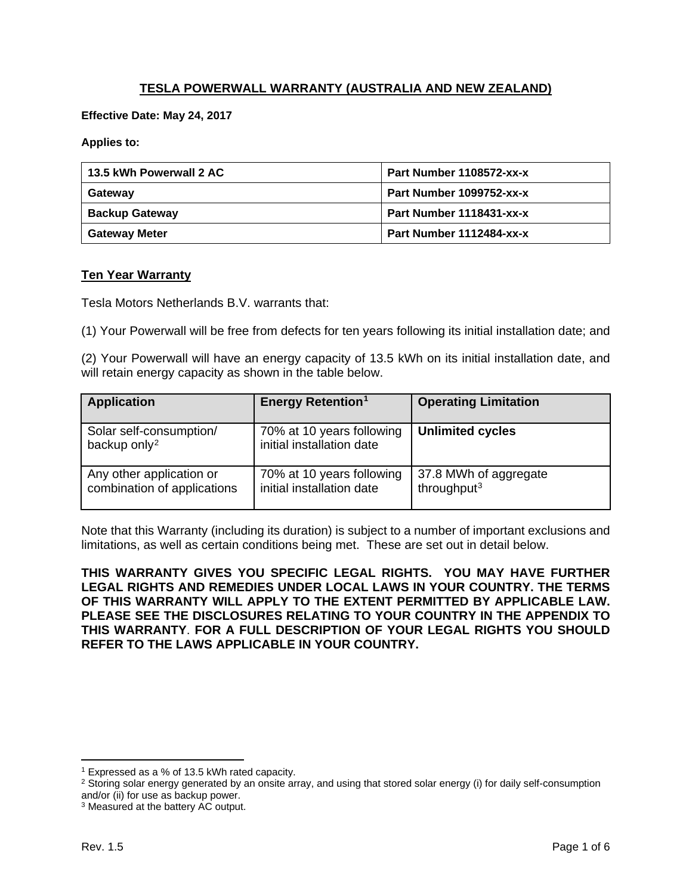# **TESLA POWERWALL WARRANTY (AUSTRALIA AND NEW ZEALAND)**

**Effective Date: May 24, 2017**

**Applies to:**

| 13.5 kWh Powerwall 2 AC | Part Number 1108572-xx-x |
|-------------------------|--------------------------|
| Gateway                 | Part Number 1099752-xx-x |
| <b>Backup Gateway</b>   | Part Number 1118431-xx-x |
| <b>Gateway Meter</b>    | Part Number 1112484-xx-x |

#### **Ten Year Warranty**

Tesla Motors Netherlands B.V. warrants that:

(1) Your Powerwall will be free from defects for ten years following its initial installation date; and

(2) Your Powerwall will have an energy capacity of 13.5 kWh on its initial installation date, and will retain energy capacity as shown in the table below.

| <b>Application</b>                                      | <b>Energy Retention<sup>1</sup></b>                    | <b>Operating Limitation</b>                      |
|---------------------------------------------------------|--------------------------------------------------------|--------------------------------------------------|
| Solar self-consumption/<br>backup only <sup>2</sup>     | 70% at 10 years following<br>initial installation date | <b>Unlimited cycles</b>                          |
| Any other application or<br>combination of applications | 70% at 10 years following<br>initial installation date | 37.8 MWh of aggregate<br>throughput <sup>3</sup> |

Note that this Warranty (including its duration) is subject to a number of important exclusions and limitations, as well as certain conditions being met. These are set out in detail below.

**THIS WARRANTY GIVES YOU SPECIFIC LEGAL RIGHTS. YOU MAY HAVE FURTHER LEGAL RIGHTS AND REMEDIES UNDER LOCAL LAWS IN YOUR COUNTRY. THE TERMS OF THIS WARRANTY WILL APPLY TO THE EXTENT PERMITTED BY APPLICABLE LAW. PLEASE SEE THE DISCLOSURES RELATING TO YOUR COUNTRY IN THE APPENDIX TO THIS WARRANTY**. **FOR A FULL DESCRIPTION OF YOUR LEGAL RIGHTS YOU SHOULD REFER TO THE LAWS APPLICABLE IN YOUR COUNTRY.**

 $\overline{\phantom{a}}$ 

<span id="page-0-0"></span><sup>1</sup> Expressed as a % of 13.5 kWh rated capacity.

<span id="page-0-1"></span><sup>&</sup>lt;sup>2</sup> Storing solar energy generated by an onsite array, and using that stored solar energy (i) for daily self-consumption and/or (ii) for use as backup power.

<span id="page-0-2"></span><sup>&</sup>lt;sup>3</sup> Measured at the battery AC output.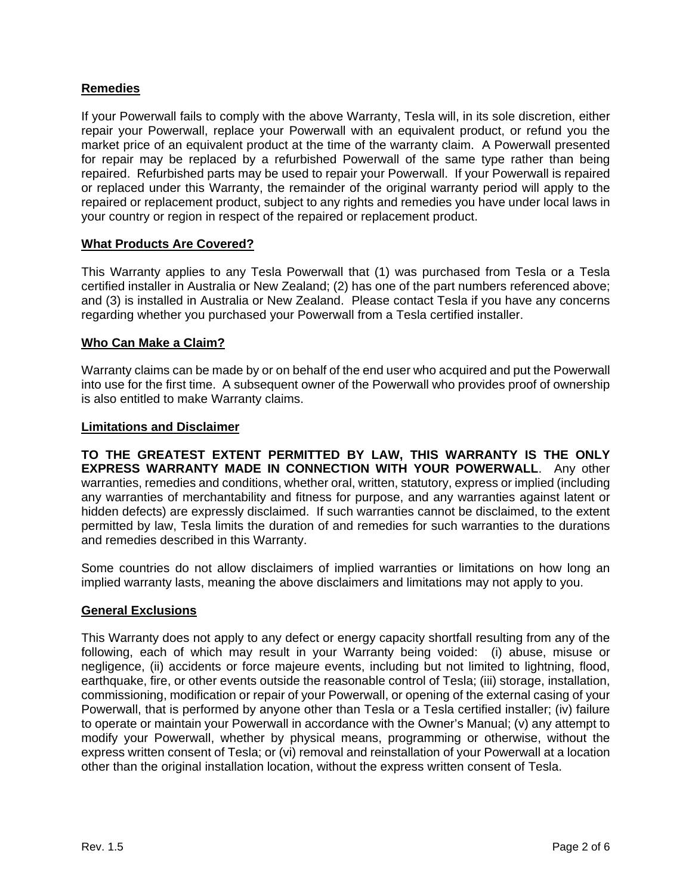## **Remedies**

If your Powerwall fails to comply with the above Warranty, Tesla will, in its sole discretion, either repair your Powerwall, replace your Powerwall with an equivalent product, or refund you the market price of an equivalent product at the time of the warranty claim. A Powerwall presented for repair may be replaced by a refurbished Powerwall of the same type rather than being repaired. Refurbished parts may be used to repair your Powerwall. If your Powerwall is repaired or replaced under this Warranty, the remainder of the original warranty period will apply to the repaired or replacement product, subject to any rights and remedies you have under local laws in your country or region in respect of the repaired or replacement product.

### **What Products Are Covered?**

This Warranty applies to any Tesla Powerwall that (1) was purchased from Tesla or a Tesla certified installer in Australia or New Zealand; (2) has one of the part numbers referenced above; and (3) is installed in Australia or New Zealand. Please contact Tesla if you have any concerns regarding whether you purchased your Powerwall from a Tesla certified installer.

### **Who Can Make a Claim?**

Warranty claims can be made by or on behalf of the end user who acquired and put the Powerwall into use for the first time. A subsequent owner of the Powerwall who provides proof of ownership is also entitled to make Warranty claims.

#### **Limitations and Disclaimer**

**TO THE GREATEST EXTENT PERMITTED BY LAW, THIS WARRANTY IS THE ONLY EXPRESS WARRANTY MADE IN CONNECTION WITH YOUR POWERWALL**. Any other warranties, remedies and conditions, whether oral, written, statutory, express or implied (including any warranties of merchantability and fitness for purpose, and any warranties against latent or hidden defects) are expressly disclaimed. If such warranties cannot be disclaimed, to the extent permitted by law, Tesla limits the duration of and remedies for such warranties to the durations and remedies described in this Warranty.

Some countries do not allow disclaimers of implied warranties or limitations on how long an implied warranty lasts, meaning the above disclaimers and limitations may not apply to you.

## **General Exclusions**

This Warranty does not apply to any defect or energy capacity shortfall resulting from any of the following, each of which may result in your Warranty being voided: (i) abuse, misuse or negligence, (ii) accidents or force majeure events, including but not limited to lightning, flood, earthquake, fire, or other events outside the reasonable control of Tesla; (iii) storage, installation, commissioning, modification or repair of your Powerwall, or opening of the external casing of your Powerwall, that is performed by anyone other than Tesla or a Tesla certified installer; (iv) failure to operate or maintain your Powerwall in accordance with the Owner's Manual; (v) any attempt to modify your Powerwall, whether by physical means, programming or otherwise, without the express written consent of Tesla; or (vi) removal and reinstallation of your Powerwall at a location other than the original installation location, without the express written consent of Tesla.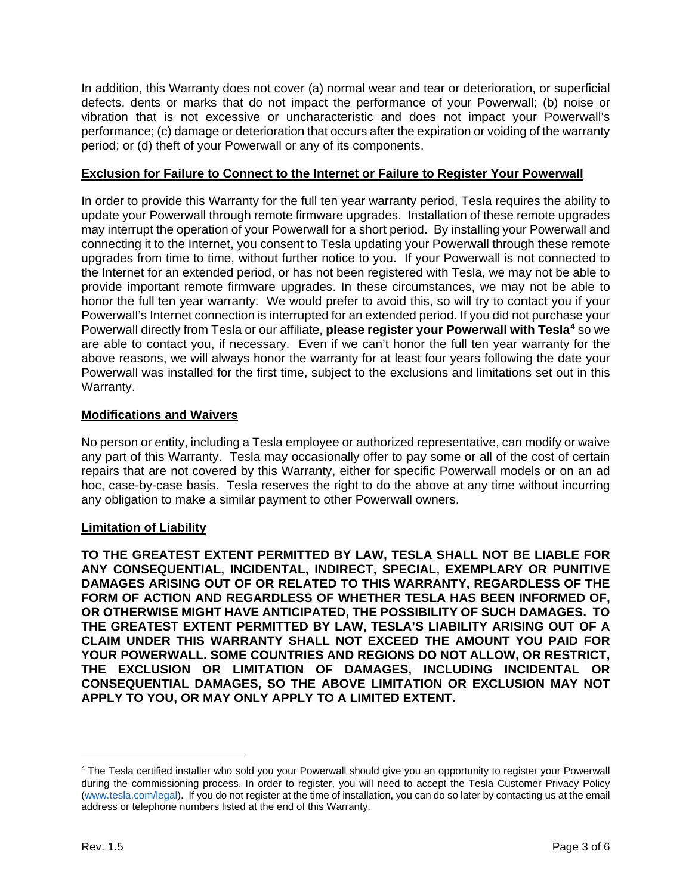In addition, this Warranty does not cover (a) normal wear and tear or deterioration, or superficial defects, dents or marks that do not impact the performance of your Powerwall; (b) noise or vibration that is not excessive or uncharacteristic and does not impact your Powerwall's performance; (c) damage or deterioration that occurs after the expiration or voiding of the warranty period; or (d) theft of your Powerwall or any of its components.

## **Exclusion for Failure to Connect to the Internet or Failure to Register Your Powerwall**

In order to provide this Warranty for the full ten year warranty period, Tesla requires the ability to update your Powerwall through remote firmware upgrades. Installation of these remote upgrades may interrupt the operation of your Powerwall for a short period. By installing your Powerwall and connecting it to the Internet, you consent to Tesla updating your Powerwall through these remote upgrades from time to time, without further notice to you. If your Powerwall is not connected to the Internet for an extended period, or has not been registered with Tesla, we may not be able to provide important remote firmware upgrades. In these circumstances, we may not be able to honor the full ten year warranty. We would prefer to avoid this, so will try to contact you if your Powerwall's Internet connection is interrupted for an extended period. If you did not purchase your Powerwall directly from Tesla or our affiliate, **please register your Powerwall with Tesla[4](#page-2-0)** so we are able to contact you, if necessary. Even if we can't honor the full ten year warranty for the above reasons, we will always honor the warranty for at least four years following the date your Powerwall was installed for the first time, subject to the exclusions and limitations set out in this Warranty.

## **Modifications and Waivers**

No person or entity, including a Tesla employee or authorized representative, can modify or waive any part of this Warranty. Tesla may occasionally offer to pay some or all of the cost of certain repairs that are not covered by this Warranty, either for specific Powerwall models or on an ad hoc, case-by-case basis. Tesla reserves the right to do the above at any time without incurring any obligation to make a similar payment to other Powerwall owners.

## **Limitation of Liability**

**TO THE GREATEST EXTENT PERMITTED BY LAW, TESLA SHALL NOT BE LIABLE FOR ANY CONSEQUENTIAL, INCIDENTAL, INDIRECT, SPECIAL, EXEMPLARY OR PUNITIVE DAMAGES ARISING OUT OF OR RELATED TO THIS WARRANTY, REGARDLESS OF THE FORM OF ACTION AND REGARDLESS OF WHETHER TESLA HAS BEEN INFORMED OF, OR OTHERWISE MIGHT HAVE ANTICIPATED, THE POSSIBILITY OF SUCH DAMAGES. TO THE GREATEST EXTENT PERMITTED BY LAW, TESLA'S LIABILITY ARISING OUT OF A CLAIM UNDER THIS WARRANTY SHALL NOT EXCEED THE AMOUNT YOU PAID FOR YOUR POWERWALL. SOME COUNTRIES AND REGIONS DO NOT ALLOW, OR RESTRICT, THE EXCLUSION OR LIMITATION OF DAMAGES, INCLUDING INCIDENTAL OR CONSEQUENTIAL DAMAGES, SO THE ABOVE LIMITATION OR EXCLUSION MAY NOT APPLY TO YOU, OR MAY ONLY APPLY TO A LIMITED EXTENT.**

<span id="page-2-0"></span> <sup>4</sup> The Tesla certified installer who sold you your Powerwall should give you an opportunity to register your Powerwall during the commissioning process. In order to register, you will need to accept the Tesla Customer Privacy Policy [\(www.tesla.com/legal\)](https://www.tesla.com/legal). If you do not register at the time of installation, you can do so later by contacting us at the email address or telephone numbers listed at the end of this Warranty.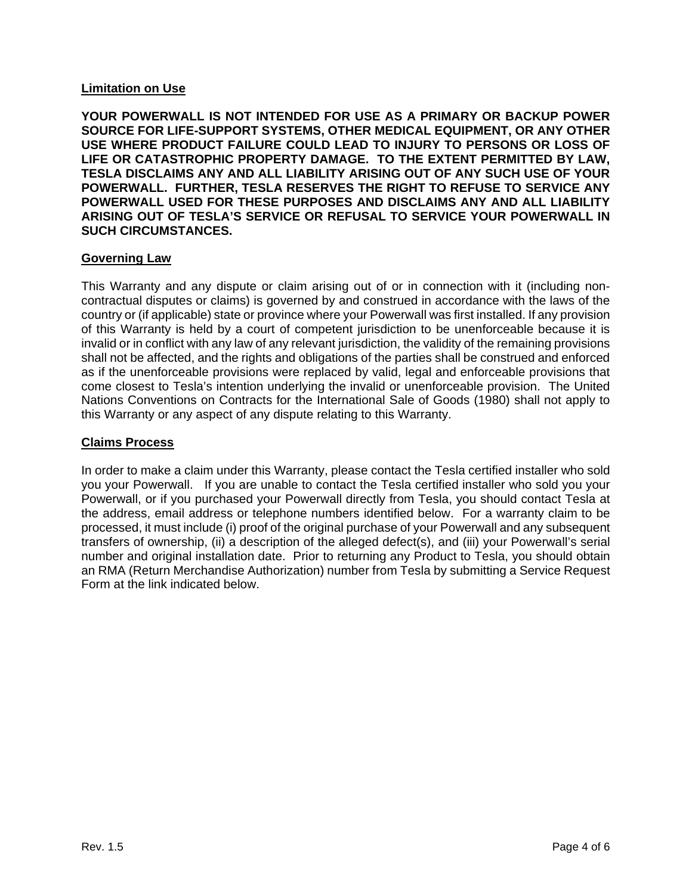### **Limitation on Use**

**YOUR POWERWALL IS NOT INTENDED FOR USE AS A PRIMARY OR BACKUP POWER SOURCE FOR LIFE-SUPPORT SYSTEMS, OTHER MEDICAL EQUIPMENT, OR ANY OTHER USE WHERE PRODUCT FAILURE COULD LEAD TO INJURY TO PERSONS OR LOSS OF LIFE OR CATASTROPHIC PROPERTY DAMAGE. TO THE EXTENT PERMITTED BY LAW, TESLA DISCLAIMS ANY AND ALL LIABILITY ARISING OUT OF ANY SUCH USE OF YOUR POWERWALL. FURTHER, TESLA RESERVES THE RIGHT TO REFUSE TO SERVICE ANY POWERWALL USED FOR THESE PURPOSES AND DISCLAIMS ANY AND ALL LIABILITY ARISING OUT OF TESLA'S SERVICE OR REFUSAL TO SERVICE YOUR POWERWALL IN SUCH CIRCUMSTANCES.**

### **Governing Law**

This Warranty and any dispute or claim arising out of or in connection with it (including noncontractual disputes or claims) is governed by and construed in accordance with the laws of the country or (if applicable) state or province where your Powerwall was first installed. If any provision of this Warranty is held by a court of competent jurisdiction to be unenforceable because it is invalid or in conflict with any law of any relevant jurisdiction, the validity of the remaining provisions shall not be affected, and the rights and obligations of the parties shall be construed and enforced as if the unenforceable provisions were replaced by valid, legal and enforceable provisions that come closest to Tesla's intention underlying the invalid or unenforceable provision. The United Nations Conventions on Contracts for the International Sale of Goods (1980) shall not apply to this Warranty or any aspect of any dispute relating to this Warranty.

### **Claims Process**

In order to make a claim under this Warranty, please contact the Tesla certified installer who sold you your Powerwall. If you are unable to contact the Tesla certified installer who sold you your Powerwall, or if you purchased your Powerwall directly from Tesla, you should contact Tesla at the address, email address or telephone numbers identified below. For a warranty claim to be processed, it must include (i) proof of the original purchase of your Powerwall and any subsequent transfers of ownership, (ii) a description of the alleged defect(s), and (iii) your Powerwall's serial number and original installation date. Prior to returning any Product to Tesla, you should obtain an RMA (Return Merchandise Authorization) number from Tesla by submitting a Service Request Form at the link indicated below.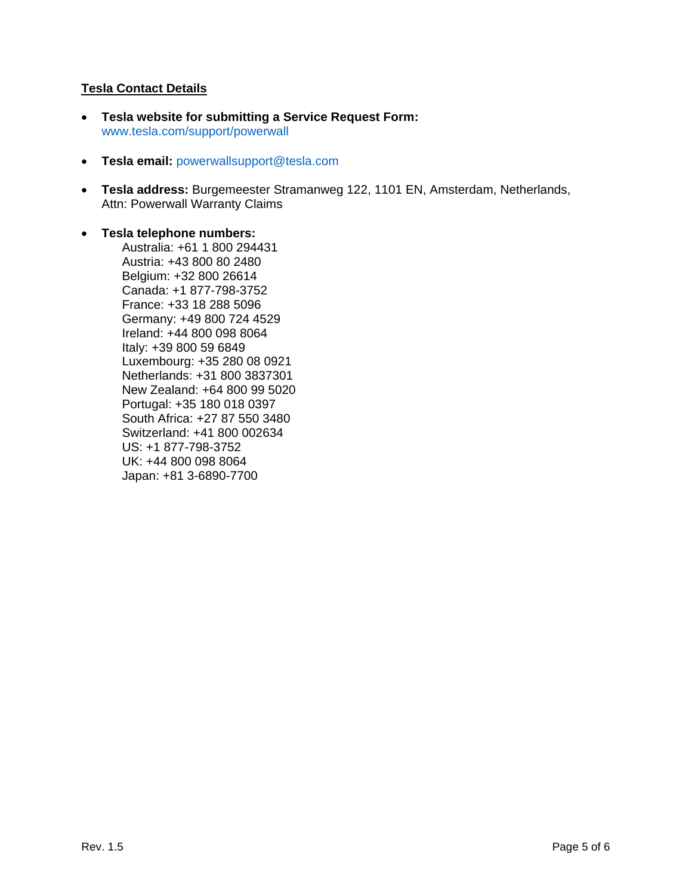## **Tesla Contact Details**

- **Tesla website for submitting a Service Request Form:** [www.tesla.com/support/powerwall](https://www.tesla.com/support/powerwall)
- **Tesla email:** [powerwallsupport@tesla.com](mailto:powerwallsupport@tesla.com)
- **Tesla address:** Burgemeester Stramanweg 122, 1101 EN, Amsterdam, Netherlands, Attn: Powerwall Warranty Claims

#### • **Tesla telephone numbers:**

Australia: +61 1 800 294431 Austria: +43 800 80 2480 Belgium: +32 800 26614 Canada: +1 877-798-3752 France: +33 18 288 5096 Germany: +49 800 724 4529 Ireland: +44 800 098 8064 Italy: +39 800 59 6849 Luxembourg: +35 280 08 0921 Netherlands: +31 800 3837301 New Zealand: +64 800 99 5020 Portugal: +35 180 018 0397 South Africa: +27 87 550 3480 Switzerland: +41 800 002634 US: +1 877-798-3752 UK: +44 800 098 8064 Japan: +81 3-6890-7700